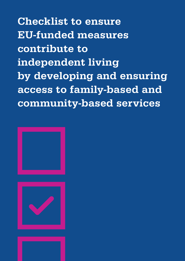Checklist to ensure EU-funded measures contribute to independent living by developing and ensuring access to family-based and community-based services

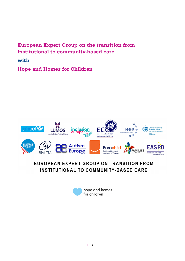### European Expert Group on the transition from institutional to community-based care

with

Hope and Homes for Children



## EUROPEAN EXPERT GROUP ON TRANSITION FROM INSTITUTIONAL TO COMMUNITY-BASED CARE

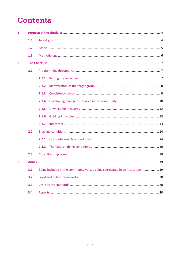# **Contents**

| $\mathbf{1}$   |     | Purpose of the checklist manufactured and a 4 |                                                                               |  |
|----------------|-----|-----------------------------------------------|-------------------------------------------------------------------------------|--|
|                | 1.1 |                                               |                                                                               |  |
|                | 1.2 |                                               |                                                                               |  |
|                | 1.3 |                                               |                                                                               |  |
| $\overline{2}$ |     |                                               |                                                                               |  |
|                | 2.1 |                                               |                                                                               |  |
|                |     | 2.1.1                                         |                                                                               |  |
|                |     | 2.1.2                                         |                                                                               |  |
|                |     | 2.1.3                                         |                                                                               |  |
|                |     | 2.1.4                                         |                                                                               |  |
|                |     | 2.1.5                                         |                                                                               |  |
|                |     | 2.1.6                                         |                                                                               |  |
|                |     | 2.1.7                                         |                                                                               |  |
|                | 2.2 |                                               |                                                                               |  |
|                |     | 2.2.1                                         |                                                                               |  |
|                |     | 2.2.2                                         |                                                                               |  |
|                | 2.3 |                                               |                                                                               |  |
| 3              |     |                                               |                                                                               |  |
|                | 3.1 |                                               | Being included in the community versus being segregated in an institution  19 |  |
|                | 3.2 |                                               |                                                                               |  |
|                | 3.3 |                                               |                                                                               |  |
|                | 3.4 |                                               |                                                                               |  |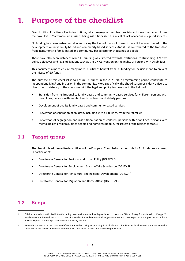## <span id="page-3-0"></span>1. Purpose of the checklist

Over 1 million EU citizens live in institutions, which segregate them from society and deny them control over their own lives.<sup>1</sup> Many more are at risk of being institutionalised as a result of lack of adequate support services.

EU funding has been instrumental in improving the lives of many of these citizens. It has contributed to the development on new family-based and community-based services. And it has contributed to the transition from institutions to family-based and community-based care for thousands of people.

There have also been instances when EU funding was directed towards institutions, contravening EU's own policy objectives and legal obligations such as the UN Convention on the Rights of Persons with Disabilities.

This document aims to ensure many more EU citizens benefit from EU funding for inclusion; and to prevent the misuse of EU funds.

The purpose of this checklist is to ensure EU funds in the 2021-2027 programming period contribute to independent living<sup>2</sup> and inclusion in the community. More specifically, the checklist supports desk officers to check the consistency of the measures with the legal and policy frameworks in the fields of:

- Transition from institutional to family-based and community-based services for children, persons with disabilities, persons with mental health problems and elderly persons
- Development of quality family-based and community-based services
- Prevention of separation of children, including with disabilities, from their families
- Prevention of segregation and institutionalisation of children, persons with disabilities, persons with mental health problems, older people and homeless people, regardless of the residence status.

### <span id="page-3-1"></span>1.1 Target group

The checklistis addressed to desk officers ofthe European Commission responsible for EU funds programmes, in particular of:

- Directorate General for Regional and Urban Policy (DG REGIO)
- Directorate General for Employment, Social Affairs & Inclusion (DG EMPL)
- Directorate General for Agricultural and Regional Development (DG AGRI)
- Directorate General for Migration and Home Affairs (DG HOME)

### <span id="page-3-2"></span>1.2 Scope

<sup>1</sup> Children and adults with disabilities (including people with mental health problems). It covers the EU and Turkey from Mansell, J., Knapp, M., Beadle-Brown, J. & Beecham, J. (2007) Deinstitutionalisation and community living – outcomes and costs: report of a European Study. Volume 2: Main Report. Canterbury: Tizard Centre, University of Kent

<sup>2</sup> General Comment 5 of the UNCRPD defines independent living as providing individuals with disabilities with all necessary means to enable them to exercise choice and control over their lives and make all decisions concerning their lives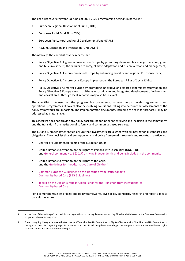The checklist covers relevant EU funds of 2021-2027 programming period<sup>3</sup>, in particular:

- European Regional Development Fund (ERDF)
- European Social Fund Plus (ESF+)
- European Agricultural and Rural Development Fund (EARDF)
- Asylum, Migration and Integration Fund (AMIF)

Thematically, the checklist covers in particular:

- Policy Objective 2: A greener, low-carbon Europe by promoting clean and fair energy transition, green and blue investment, the circular economy, climate adaptation and risk prevention and management;
- Policy Objective 3: A more connected Europe by enhancing mobility and regional ICT connectivity;
- Policy Objective 4: A more social Europe implementing the European Pillar of Social Rights
- Policy Objective 1 A smarter Europe by promoting innovative and smart economic transformation and Policy Objective 5 Europe closer to citizens – sustainable and integrated development of urban, rural and coastal areas through local initiatives may also be relevant.

The checklist is focused on the programming documents, namely the partnership agreements and operational programmes. It covers also the enabling conditions, taking into account that assessments of the policy frameworks are important. The implementation documents, including the calls for proposals, may be addressed at a later stage.

This checklist does not provide any policy background for independent living and inclusion in the community, and the transition from institutional to family and community-based services.

The EU and Member states should ensure that investments are aligned with all international standards and obligations. The checklist thus draws upon legal and policy frameworks, research and reports, in particular:

- Charter of Fundamental Rights of the European Union
- United Nations Convention on the Rights of Persons with Disabilities (UNCRPD), and General comment No. 5 (2017) on living [independently](https://tbinternet.ohchr.org/_layouts/treatybodyexternal/Download.aspx?symbolno=CRPD/C/GC/5&Lang=en) and being included in the community
- United Nations Convention on the Rights of the Child, and the Guidelines for the [Alternative](https://www.unicef.org/protection/alternative_care_Guidelines-English.pdf) Care of Children<sup>4</sup>
- Common European Guidelines on the Transition from [Institutional](https://deinstitutionalisationdotcom.files.wordpress.com/2017/07/guidelines-final-english.pdf) to [Community-based](https://deinstitutionalisationdotcom.files.wordpress.com/2017/07/guidelines-final-english.pdf) Care (EEG Guidelines)
- Toolkit on the Use of European Union Funds for the Transition from [Institutional](https://deinstitutionalisationdotcom.files.wordpress.com/2017/07/toolkit-10-22-2014-update-web.pdf) to [Community-based](https://deinstitutionalisationdotcom.files.wordpress.com/2017/07/toolkit-10-22-2014-update-web.pdf) Care

For a comprehensive list of legal and policy frameworks, civil society standards, research and reports, please consult the annex.

<sup>3</sup>  At the time of the drafting of the checklist the negotiations on the regulations are on-going. The checklist is based on the European Commission proposals released in May 2018.

<sup>4</sup> There is ongoing dialogue between the two relevant Treaty bodies (UN Committee on Rights of Persons with Disabilities and UN Committee on the Rights of the Child) regarding legal discrepancies. The checklist will be updated according to the interpretation of international human rights standards which will result from this dialogue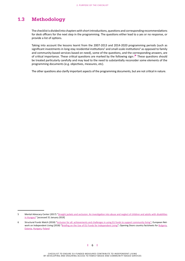### <span id="page-5-0"></span>1.3 Methodology

The checklistis divided into chapterswith shortintroductions, questions and corresponding recommendations for desk officers for the next step in the programming. The questions either lead to a yes or no response, or provide a list of options.

Taking into account the lessons learnt from the 2007-2013 and 2014-2020 programming periods (such as significant investments in long-stay residential institutions<sup>5</sup> and small-scale institutions<sup>6</sup> as opposed to family and community-based services based on need), some of the questions, and the corresponding answers, are of critical importance. These critical questions are marked by the following sign: These questions should be treated particularly carefully and may lead to the need to substantially reconsider some elements of the programming documents (e.g. objectives, measures, etc).

The other questions also clarify important aspects of the programming documents, but are not critical in nature.

<sup>5</sup> Mental Advocacy Center (2017) "Straight jackets and seclusion: An [investigation](http://www.mdac.org/sites/mdac.info/files/straightjackets_and_seclusion_-_mdac.pd) into abuse and neglect of children and adults with disabilities [in Hungary](http://www.mdac.org/sites/mdac.info/files/straightjackets_and_seclusion_-_mdac.pd)" [accessed 31 January 2019]

<sup>6</sup> Structural Funds Watch (2018) "Inclusion for all: [achievements](https://eustructuralfundswatchdotcom.files.wordpress.com/2019/01/sfw-digital_-_2018.pdf) and challenges in using EU funds to support community living"; European Net-work on [Independent](http://enil.eu/wp-content/uploads/2018/04/EU-Funds-Briefing_web0903.pdf) Living (2018) "Briefing on the Use of EU Funds for Independent Living"; Opening Doors country factsheets for Bulgaria, [Estonia](https://www.openingdoors.eu/wp-content/uploads/2018/02/country-fiche-Estonia-2017.pdf), [Hungary](https://www.openingdoors.eu/wp-content/uploads/2018/02/country-fiche-Hungary-2017.pdf), [Poland](https://www.openingdoors.eu/wp-content/uploads/2018/02/country-fiche-Poland-2017.pdf)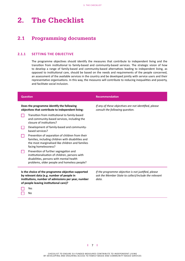## <span id="page-6-0"></span>2. The Checklist

### <span id="page-6-1"></span>2.1 Programming documents

#### <span id="page-6-2"></span>**2.1.1 SETTING THE OBJECTIVE**

The programme objectives should identify the measures that contribute to independent living and the transition from institutional to family-based and community-based services. The strategic vision of how to develop a range of family-based and community-based alternatives leading to independent living, as opposed to institutional care, should be based on the needs and requirements of the people concerned, an assessment of the available services in the country and be developed jointly with service users and their representative organisations. In this way, the measures will contribute to reducing inequalities and poverty, and facilitate social inclusion.

| Question                                                                                                                                                                                          | <b>Recommendation</b>                                                                                                |  |
|---------------------------------------------------------------------------------------------------------------------------------------------------------------------------------------------------|----------------------------------------------------------------------------------------------------------------------|--|
| Does the programme identify the following<br>objectives that contribute to independent living:                                                                                                    | If any of these objectives are not identified, please<br>consult the following question.                             |  |
| Transition from institutional to family-based<br>and community-based services, including the<br>closure of institutions?                                                                          |                                                                                                                      |  |
| Development of family-based and community-<br>based services?                                                                                                                                     |                                                                                                                      |  |
| Prevention of separation of children from their<br>families, including children with disabilities and<br>the most marginalised like children and families<br>facing homelessness?                 |                                                                                                                      |  |
| Prevention of further segregation and<br>institutionalisation of children, persons with<br>disabilities, persons with mental health<br>problems, older people and homeless people?                |                                                                                                                      |  |
| Is the choice of the programme objective supported<br>by relevant data (e.g. number of people in<br>institutions, number of admissions per year, number<br>of people leaving institutional care)? | If the programme objective is not justified, please<br>ask the Member State to collect/include the relevant<br>data. |  |
| Yes                                                                                                                                                                                               |                                                                                                                      |  |

 No

**l** 7 **l**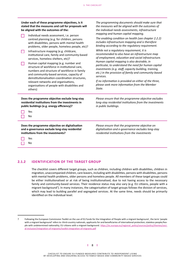| Under each of these programme objectives, is it<br>stated that the measures and call for proposals will<br>be aligned with the outcomes of the:                                                                                         | The programming documents should make sure that<br>the measures will be aligned with the outcomes of<br>the individual needs assessments, infrastructure<br>mapping and human capital mapping.    |  |  |
|-----------------------------------------------------------------------------------------------------------------------------------------------------------------------------------------------------------------------------------------|---------------------------------------------------------------------------------------------------------------------------------------------------------------------------------------------------|--|--|
| Individual needs assessment, i.e. person<br>centred planning (e.g. for children, persons<br>with disabilities, persons with mental health<br>problems, older people, homeless people, etc)?                                             | The enabling condition on health (see chapter 2.2.2)<br>includes infrastructure mapping and is therefore<br>binding according to the regulatory requirement.                                      |  |  |
| Infrastructure mapping (e.g. childcare,<br>institutional care, family and community-based<br>services, homeless shelters, etc)?                                                                                                         | While not a regulatory requirement, it is<br>recommended to also have an infrastructure map<br>of employment, education and social infrastructure.<br>Human capital mapping is also desirable, in |  |  |
| Human capital mapping (e.g. number and<br>structure of workforce in institutional care,<br>numbers and structure of workforce in family<br>and community-based services, capacity of<br>deinstitutionalisation-coordination structures, | particular, to understand the need for human capital<br>investments (e.g. staff, capacity building, training,<br>etc.) in the provision of family and community-based<br>services.                |  |  |
| relevant networks and organisations,<br>organisations of people with disabilities and<br>others)                                                                                                                                        | If no information is provided on either of the three,<br>please seek more information from the Member<br>State.                                                                                   |  |  |
| Does the programme objective exclude long-stay<br>residential institutions from the investments in<br>public buildings (e.g. energy efficiency)?                                                                                        | Please ensure that the programme objective excludes<br>long-stay residential institutions from the investments<br>in public buildings.                                                            |  |  |
| Yes<br>No                                                                                                                                                                                                                               |                                                                                                                                                                                                   |  |  |
| Does the programme objective on digitalisation<br>and e-governance exclude long-stay residential<br>institutions from the investments?                                                                                                  | Please ensure that the programme objective on<br>digitalisation and e-governance excludes long-stay<br>residential institutions from the investments                                              |  |  |
| Yes<br>No                                                                                                                                                                                                                               |                                                                                                                                                                                                   |  |  |

#### <span id="page-7-0"></span>**2.1.2 IDENTIFICATION OF THE TARGET GROUP**

The checklist covers different target groups, such as children, including children with disabilities, children in migration, unaccompanied children, care leavers, including with disabilities, persons with disabilities, persons with mental health problems, older persons and homeless people. All members of these target groups could be either institutionalised or at risk of being institutionalised, due to not having access to the necessary family and community-based services. Their residence status may also vary (e.g. EU citizens, people with a migrant background<sup>7</sup> ). In many instances, the categorisation of target groups follows the division of services, which may lead to building parallel and segregated services. At the same time, needs should be primarily identified on the individual level.

<sup>7</sup> Following the European Commission Toolkit on the use of EU funds for the Integration of People with a migrant background , the term 'people with a migrant background' refers to: third-country nationals, applicants for and beneficiaries of international protection; stateless people;People with undetermined nationality; EU citizens with a migrant background. https://ec.europa.eu/regional\_policy/sources/policy/themes/social-inclusion/integration-of-migrants/toolkit-integration-of-migrants.pdf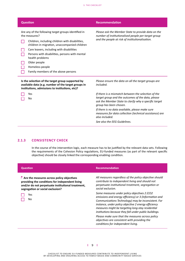| <b>Question</b>                                                                                                                                                                                                                                                                                                                                                       | <b>Recommendation</b>                                                                                                                                                                                                                                                                                                       |  |
|-----------------------------------------------------------------------------------------------------------------------------------------------------------------------------------------------------------------------------------------------------------------------------------------------------------------------------------------------------------------------|-----------------------------------------------------------------------------------------------------------------------------------------------------------------------------------------------------------------------------------------------------------------------------------------------------------------------------|--|
| Are any of the following target groups identified in<br>the measures?<br>Children, including children with disabilities,<br>children in migration, unaccompanied children<br>Care leavers, including with disabilities<br>Persons with disabilities, persons with mental<br>health problems<br>Older people<br>Homeless people<br>Family members of the above persons | Please ask the Member State to provide data on the<br>number of institutionalised people per target group<br>and the people at risk of institutionalisation.                                                                                                                                                                |  |
| Is the selection of the target group supported by<br>available data (e.g. number of the target groups in<br>institutions, admissions to institutions, etc)?                                                                                                                                                                                                           | Please ensure the data on all the target groups are<br>included.                                                                                                                                                                                                                                                            |  |
| Yes<br>No                                                                                                                                                                                                                                                                                                                                                             | If there is a mismatch between the selection of the<br>target group and the outcomes of the data, please<br>ask the Member State to clarify why a specific target<br>group has been chosen.<br>If there is no data available, please make sure<br>measures for data collection (technical assistance) are<br>also included. |  |

*See also the EEG Guidelines.* 

#### <span id="page-8-0"></span>**2.1.3 CONSISTENCY CHECK**

In the course of the intervention logic, each measure has to be justified by the relevant data sets. Following the requirements of the Cohesion Policy regulations, EU-funded measures (as part of the relevant specific objective) should be closely linked the corresponding enabling condition.

| <b>Question</b>                                                                                                                                                                                             | <b>Recommendation</b>                                                                                                                                                                                                                                                                                                                |
|-------------------------------------------------------------------------------------------------------------------------------------------------------------------------------------------------------------|--------------------------------------------------------------------------------------------------------------------------------------------------------------------------------------------------------------------------------------------------------------------------------------------------------------------------------------|
| $\blacktriangleright$ Are the measures across policy objectives<br>providing the conditions for independent living<br>and/or do not perpetuate institutional treatment,<br>segregation or social exclusion? | All measures regardless of the policy objective should<br>contribute to independent living and should not<br>perpetuate institutional treatment, segregation or<br>social exclusion.                                                                                                                                                 |
| Yes<br>No.                                                                                                                                                                                                  | Some measures under policy objectives 2 (CO2<br>emissions and energy efficiency) or 3 (Information and<br>Communications Technology) may be inconsistent. For<br>instance, under policy objective 2 energy efficiency<br>measures might be targeting long-stay residential<br>institutions because they fall under public buildings. |
|                                                                                                                                                                                                             | Please make sure that the measures across policy<br>objectives are consistent with providing the<br>conditions for independent living.                                                                                                                                                                                               |

#### **l** 9 **l**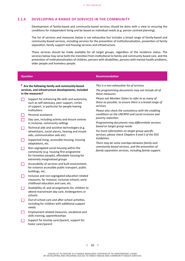#### <span id="page-9-0"></span>**2.1.4 DEVELOPING A RANGE OF SERVICES IN THE COMMUNITY**

Development of family-based and community-based services should be done with a view to ensuring the conditions for independent living and be based on individual needs (e.g. person centred planning).

The list of services and measures below is not exhaustive but includes a broad range of family-based and community-based services, including services for the prevention of institutionalisation, prevention of family separation, family support and housing services and infrastructure.

These services should be made available for all target groups, regardless of the residence status. The services below may serve both the transition from institutional to family and community based care, and the prevention of institutionalisation of children, persons with disabilities, persons with mental health problems, older people and homeless people.

#### **Question Recommendation**

#### **Are the following family and community-based services, and infrastructure developments, included in the measures?**

- Support for enhancing life skills and autonomy, such as self-advocacy, peer support, circles of support, in particular for people leaving institutions
- Personal assistance

 Day care, including activity and leisure centres in inclusive, community settings

- $\Box$  Technical aids and assistive technologies (e.g. wheelchairs, social alarms, hearing and visuals aids, communication aids etc)
- Supported living, accessible housing, housing adaptations, etc.
- $\Box$  Non-segregated social housing within the community (e.g. housing first programme for homeless people), affordable housing for extremely marginalised groups
- Accessibility of services and built environment, for instance accessible public transport, public buildings, etc.
- $\Box$  Inclusive and non-segregated education-related measures, for instance, inclusive schools, early childhood education and care, etc.
- $\Box$  Availability of, and arrangements for, children to attend mainstream day-care, kindergartens or schools
- Out-of-school care and after-school activities, including for children with additional support needs
- Employment-related measures, vocational and skills training, apprenticeships
- Support for kinship carer/parent, support for foster carer/parent

*This is a non-exhaustive list of services.* 

*The programming documents may not include all of these measures.* 

*Please ask Member States to refer to as many of these as possible, to ensure there is a broad range of services.* 

*Please also check the consistency with the enabling conditions on the UNCRPD and social inclusion and poverty reduction.*

*Programming documents may differentiate services based on target group needs.* 

*For more information on target group specific services, please check Chapters 4 and 5 of the EEG Guidelines.* 

*There may be some overlaps between family and community-based services, and the prevention of family separation services, including family support.*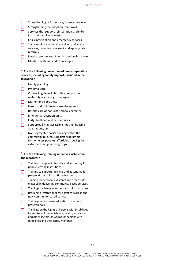- $\Box$  Strengthening of foster care/parents networks
- $\Box$  Strengthening the adoption framework

 Services that support reintegration of children into their families of origin

- Crisis intervention and emergency services
- Social work, including counselling and advice services, including case work and appropriate referrals
- $\Box$  Respite care services of non-institutional character
	- Mental health and addiction support

#### **Are the following prevention of family separation services, including family support, included in the measures?**

- $\Box$  Family planning
- $\Box$  Pre-natal care
- Counselling desks in hospitals, support in maternity wards (e.g. rooming-in)
- $\Box$  Mother and baby units
- $\Box$  Parent and child foster care placements
- $\Box$  Respite care of non-institutional character
- $\Box$  Emergency reception units
- $\Box$  Early childhood and care services
- Supported living, accessible housing, housing adaptations, etc.
- $\Box$  Non-segregated social housing within the community (e.g. housing first programme for homeless people), affordable housing for extremely marginalised groups

#### **Are the following training initiatives included in the measures?**

- $\Box$  Training to support life skills and autonomy for people leaving institutions
- $\Box$  Training to support life skills and autonomy for people at risk of institutionalisation
- $\Box$  Training for personal assistants and other staff engaged in delivering community-based services
- Trainings for family members and informal carers
- Retraining institutional care staff to work in the new community-based service
- $\Box$  Trainings on inclusive education for school professionals
- $\Box$  Trainings on the Rights of Persons with Disabilities for workers of the social/care, health, education and other sectors, as well as for persons with disabilities and their family members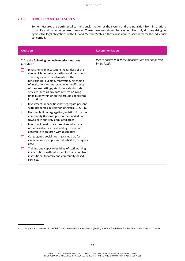#### <span id="page-11-0"></span>**2.1.5 UNWELCOME MEASURES**

Some measures are detrimental to the transformation of the system and the transition from institutional to family and community-based services. These measures should be avoided. Not only do they risk going against the legal obligations of the EU and Member States,<sup>8</sup>, they cause unnecessary harm for the individuals concerned.

#### **Are the following - unwelcomed – measures included?**

- Investments in institutions, regardless of the size, which perpetrate institutional treatment. This may include investments for the refurbishing, building, renovating, extending of institutions or improving energy efficiency of the care settings, etc. It may also include services, such as day-care centres or living units built within or on the grounds of existing institutions.
- $\Box$  Investments in facilities that segregate persons with disabilities in violation of Article 19 CRPD.
- Housing built in segregation/isolation from the community (for example, on the outskirts of towns or in sparsely populated areas)
- $\Box$  Investing in mainstream services which are not accessible (such as building schools not accessible to children with disabilities)
- $\Box$  Congregated social housing (aimed at, for example, only people with disabilities, refugees etc.)
- $\Box$  Training and capacity building of staff working in institutions without a plan for transition from institutional to family and community-based services.

#### **Question Recommendation**

*Please ensure that these measures are not supported by EU funds.* 

8 In particular article 19 UNCRPD and General comment No. 5 (2017), and the Guidelines for the Alternative Care of Children.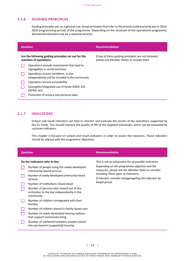### <span id="page-12-0"></span>**2.1.6 GUIDING PRINCIPLES**

Guiding principles are, as a general rule, broad principles that refer to the priority (called priority axis in 2014-2020 programming period) of the programme. Depending on the structure of the operational programme, deinstitutionalisation may be a separate priority.

|                                                                                  | <b>Question</b>                                                                        | Recommendation                                                                                    |
|----------------------------------------------------------------------------------|----------------------------------------------------------------------------------------|---------------------------------------------------------------------------------------------------|
| Are the following guiding principles set out for the<br>selection of operations: |                                                                                        | If any of these guiding principles are not included,<br>please ask Member States to include them. |
|                                                                                  | Operations exclude investments that lead to<br>segregation or social exclusion         |                                                                                                   |
|                                                                                  | Operations ensure conditions to live<br>independently and be included in the community |                                                                                                   |
|                                                                                  | Operations ensure accessibility                                                        |                                                                                                   |
|                                                                                  | Synergetic/integrated use of funds (ERDF, ESF,<br>EAFRD, etc)                          |                                                                                                   |
|                                                                                  | Protection of privacy and personal data                                                |                                                                                                   |

### <span id="page-12-1"></span>**2.1.7 INDICATORS**

Output and result indicators can help to monitor and evaluate the results of the operations supported by the EU funds. This should improve the quality of life of the targeted individuals, which can be evaluated by outcome indicators.

This chapter is focused on output and result indicators in order to assess the measures. These indicators should be aligned with the programme objectives.

| <b>Question</b>                 |                                                                                                     | <b>Recommendation</b>                                                                             |  |
|---------------------------------|-----------------------------------------------------------------------------------------------------|---------------------------------------------------------------------------------------------------|--|
| Do the indicators refer to the: |                                                                                                     | This is not an exhaustive list of possible indicators.                                            |  |
|                                 | Number of people using the newly-developed<br>community-based services                              | Depending on the programme objective and the<br>measures, please ask the Member State to consider |  |
|                                 | Number of newly-developed community-based<br>services                                               | including these types of indicators.<br>If relevant, consider disaggregating the indicator by     |  |
|                                 | Number of institutions closed down                                                                  | target group.                                                                                     |  |
|                                 | Number of persons who moved out of the<br>institution to the live independently in the<br>community |                                                                                                   |  |
|                                 | Number of children reintegrated with their<br>families                                              |                                                                                                   |  |
|                                 | Number of children placed in family-based care                                                      |                                                                                                   |  |
|                                 | Number of newly-developed housing options<br>that support community living                          |                                                                                                   |  |
|                                 | Number of sheltered homeless people moved<br>into permanent (supported) housing                     |                                                                                                   |  |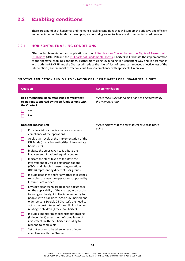### <span id="page-13-0"></span>2.2 Enabling conditions

There are a number of horizontal and thematic enabling conditions that will support the effective and efficient implementation of the funds for developing, and ensuring access to, family and community-based services.

#### <span id="page-13-1"></span>**2.2.1 HORIZONTAL ENABLING CONDITIONS**

Effective implementation and application of the United Nations [Convention](https://www.ohchr.org/EN/HRBodies/CRPD/Pages/ConventionRightsPersonsWithDisabilities.aspx) on the Rights of Persons with [Disabilities](https://www.ohchr.org/EN/HRBodies/CRPD/Pages/ConventionRightsPersonsWithDisabilities.aspx) (UNCRPD) and the EU Charter of [Fundamental](https://eur-lex.europa.eu/legal-content/EN/TXT/?uri=CELEX:12012P/TXT) Rights (Charter) will facilitate the implementation of the thematic enabling conditions. Furthermore using EU funding in a consistent way and in accordance with both the UNCRPD and the Charter will reduce the risks of: loss of resources, reduced effectiveness of the interventions, and financial corrections due to non-compliance with applicable Union law.

#### **EFFECTIVE APPLICATION AND IMPLEMENTATION OF THE EU CHARTER OF FUNDAMENTAL RIGHTS**

|                                                                                                                     | <b>Question</b>                                                                                                                                                                                                                                                                                                                                                    | <b>Recommendation</b>                                                    |
|---------------------------------------------------------------------------------------------------------------------|--------------------------------------------------------------------------------------------------------------------------------------------------------------------------------------------------------------------------------------------------------------------------------------------------------------------------------------------------------------------|--------------------------------------------------------------------------|
|                                                                                                                     |                                                                                                                                                                                                                                                                                                                                                                    |                                                                          |
| Has a mechanism been established to verify that<br>operations supported by the EU funds comply with<br>the Charter? |                                                                                                                                                                                                                                                                                                                                                                    | Please make sure that a plan has been elaborated by<br>the Member State. |
|                                                                                                                     | Yes                                                                                                                                                                                                                                                                                                                                                                |                                                                          |
|                                                                                                                     | No                                                                                                                                                                                                                                                                                                                                                                 |                                                                          |
| Does the mechanism:                                                                                                 |                                                                                                                                                                                                                                                                                                                                                                    | Please ensure that the mechanism covers all these                        |
|                                                                                                                     | Provide a list of criteria as a basis to assess<br>compliance of the operations                                                                                                                                                                                                                                                                                    | points.                                                                  |
|                                                                                                                     | Apply at all levels of the implementation of the<br>ESI Funds (managing authorities, intermediate<br>bodies, etc)                                                                                                                                                                                                                                                  |                                                                          |
| n l                                                                                                                 | Indicate the steps taken to facilitate the<br>involvement of national equality bodies                                                                                                                                                                                                                                                                              |                                                                          |
|                                                                                                                     | Indicate the steps taken to facilitate the<br>involvement of Civil society organisations<br>(CSOs) and disabled persons organisations<br>(DPOs) representing different user groups                                                                                                                                                                                 |                                                                          |
|                                                                                                                     | Include deadlines and/or any other milestones<br>regarding the way the operations supported by<br>EU funds are verified                                                                                                                                                                                                                                            |                                                                          |
|                                                                                                                     | Envisage clear technical guidance documents<br>on the applicability of the charter, in particular<br>focusing on the right to live independently for<br>people with disabilities (Article 26 Charter) and<br>older persons (Article 25 Charter), the need to<br>act in the best interest of the child in all actions<br>relating to children (Article 24 Charter). |                                                                          |
| L.                                                                                                                  | Include a monitoring mechanism for ongoing<br>(independent) assessment of compliance of<br>investments with the Charter, including to<br>respond to complaints                                                                                                                                                                                                     |                                                                          |
|                                                                                                                     | Set out actions to be taken in case of non-<br>compliance with the Charter                                                                                                                                                                                                                                                                                         |                                                                          |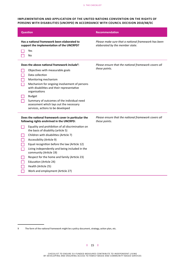#### **IMPLEMENTATION AND APPLICATION OF THE UNITED NATIONS CONVENTION ON THE RIGHTS OF PERSONS WITH DISABILITIES (UNCRPD) IN ACCORDANCE WITH COUNCIL DECISION 2010/48/EC**

| <b>Question</b>                                                                                                                                                                                                                                                                                                                                                                                                                                                                                                                       | <b>Recommendation</b>                                                                  |
|---------------------------------------------------------------------------------------------------------------------------------------------------------------------------------------------------------------------------------------------------------------------------------------------------------------------------------------------------------------------------------------------------------------------------------------------------------------------------------------------------------------------------------------|----------------------------------------------------------------------------------------|
| Has a national framework been elaborated to<br>support the implementation of the UNCRPD?<br>Yes<br>No                                                                                                                                                                                                                                                                                                                                                                                                                                 | Please make sure that a national framework has been<br>elaborated by the member state. |
| Does the above national framework include <sup>9</sup> :<br>Objectives with measurable goals<br>Data collection<br>Monitoring mechanism<br>Mechanism for ongoing involvement of persons<br>with disabilities and their representative<br>organisations<br><b>Budget</b><br>Summary of outcomes of the individual need<br>assessment which lays out the necessary<br>services, actions to be developed                                                                                                                                 | Please ensure that the national framework covers all<br>these points.                  |
| Does the national framework cover in particular the<br>following rights enshrined in the UNCRPD:<br>Equality and prohibition of all discrimination on<br>the basis of disability (article 5)<br>Children with disabilities (Article 7)<br>Accessibility (Article 9)<br>Equal recognition before the law (Article 12)<br>Living independently and being included in the<br>community (Article 19)<br>Respect for the home and family (Article 23)<br>Education (Article 24)<br>Health (Article 25)<br>Work and employment (Article 27) | Please ensure that the national framework covers all<br>these points.                  |

<sup>9</sup> The form of the national framework might be a policy document, strategy, action plan, etc.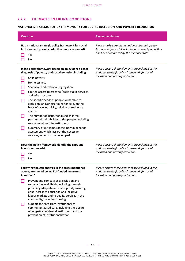### <span id="page-15-0"></span>**2.2.2 THEMATIC ENABLING CONDITIONS**

#### **NATIONAL STRATEGIC POLICY FRAMEWORK FOR SOCIAL INCLUSION AND POVERTY REDUCTION**

| <b>Question</b>                                                                                                                                                                                                                                                                                                                                                                                                                                                                                                                                                                                                                                                                                  | <b>Recommendation</b>                                                                                                                                 |
|--------------------------------------------------------------------------------------------------------------------------------------------------------------------------------------------------------------------------------------------------------------------------------------------------------------------------------------------------------------------------------------------------------------------------------------------------------------------------------------------------------------------------------------------------------------------------------------------------------------------------------------------------------------------------------------------------|-------------------------------------------------------------------------------------------------------------------------------------------------------|
| Has a national strategic policy framework for social<br>inclusion and poverty reduction been elaborated?<br>Yes<br>No                                                                                                                                                                                                                                                                                                                                                                                                                                                                                                                                                                            | Please make sure that a national strategic policy<br>framework for social inclusion and poverty reduction<br>has been elaborated by the member state. |
| Is the policy framework based on an evidence-based<br>diagnosis of poverty and social exclusion including:<br>Child poverty<br>Homelessness<br>Spatial and educational segregation<br>Limited access to essential/basic public services<br>and infrastructure<br>The specific needs of people vulnerable to<br>exclusion, and/or discrimination (e.g. on the<br>basis of race, ethnicity, religion or residence<br>status)<br>The number of institutionalised children,<br>persons with disabilities, older people, including<br>new admissions into institutions<br>Summary of outcomes of the individual needs<br>assessment which lays out the necessary<br>services, actions to be developed | Please ensure these elements are included in the<br>national strategic policy framework for social<br>inclusion and poverty reduction.                |
| Does the policy framework identify the gaps and<br>investment needs?<br>Yes<br>No                                                                                                                                                                                                                                                                                                                                                                                                                                                                                                                                                                                                                | Please ensure these elements are included in the<br>national strategic policy framework for social<br>inclusion and poverty reduction.                |
| Following the gap analysis in the areas mentioned<br>above, are the following EU-funded measures<br>identified?<br>Prevent and combat social exclusion and<br>a l<br>segregation in all fields, including through<br>providing adequate income support, ensuring<br>equal access to education and inclusive<br>labour markets and to quality services in the<br>community, including housing<br>Support the shift from institutional to<br>community-based care, including the closure<br>of long-stay residential institutions and the<br>prevention of institutionalisation                                                                                                                    | Please ensure these elements are included in the<br>national strategic policy framework for social<br>inclusion and poverty reduction.                |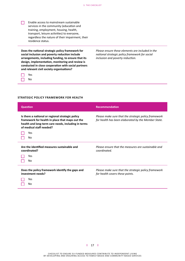$\Box$  Enable access to mainstream sustainable services in the community (education and training, employment, housing, health, transport, leisure activities) to everyone, regardless the nature of their impairment, their residence status.

**Does the national strategic policy framework for social inclusion and poverty reduction include arrangements, including funding, to ensure that its design, implementation, monitoring and review is conducted in close cooperation with social partners and relevant civil society organisations?**



*Please ensure these elements are included in the national strategic policy framework for social inclusion and poverty reduction.* 

#### **STRATEGIC POLICY FRAMEWORK FOR HEALTH**

| <b>Question</b>                                                                                                                                                                                     | <b>Recommendation</b>                                                                                       |
|-----------------------------------------------------------------------------------------------------------------------------------------------------------------------------------------------------|-------------------------------------------------------------------------------------------------------------|
| Is there a national or regional strategic policy<br>framework for health in place that maps out the<br>health and long-term care needs, including in terms<br>of medical staff needed?<br>Yes<br>No | Please make sure that the strategic policy framework<br>for health has been elaborated by the Member State. |
| Are the identified measures sustainable and<br>coordinated?<br>Yes<br>No                                                                                                                            | Please ensure that the measures are sustainable and<br>coordinated.                                         |
| Does the policy framework identify the gaps and<br>investment needs?<br>Yes<br>No                                                                                                                   | Please make sure that the strategic policy framework<br>for health covers these points.                     |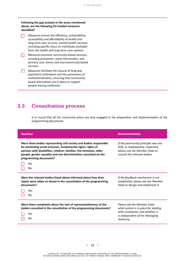#### **Following the gap analysis in the areas mentioned above, are the following EU-funded measures identified?**

- $\Box$  Measures ensure the efficiency, sustainability, accessibility and affordability of health and long-term care services, mental health services, including specific focus on individuals excluded from the health and long-term care systems
- Measures promote community-based services, including prevention, early intervention, and primary care, home-care and community-based services
- $\Box$  Measures facilitate the closure of long-stay psychiatric institutions and the prevention of institutionalisation, ensuring that communitybased alternatives are in place to support people leaving institution.

### <span id="page-17-0"></span>2.3 Consultation process

It is crucial that all the concerned actors are duly engaged in the preparation and implementation of the programming documents.

| <b>Question</b>                                                                                                                                                                                                                                                                                                | <b>Recommendation</b>                                                                                                                                 |
|----------------------------------------------------------------------------------------------------------------------------------------------------------------------------------------------------------------------------------------------------------------------------------------------------------------|-------------------------------------------------------------------------------------------------------------------------------------------------------|
| Were there bodies representing civil society and bodies responsible<br>for promoting social inclusion, fundamental rights, rights of<br>persons with disabilities, children, families, the homeless, older<br>people, gender equality and non-discrimination consulted on the<br>programming documents?<br>Yes | If the partnership principle was not<br>fully, or inadequately, respected,<br>please ask the Member State to<br>consult the relevant bodies.          |
| No                                                                                                                                                                                                                                                                                                             |                                                                                                                                                       |
| Were the relevant bodies listed above informed about how their<br>inputs were taken on board in the consultation of the programming<br>documents?                                                                                                                                                              | If the feedback mechanism is not<br>established, please ask the Member<br>State to design and implement it.                                           |
| Yes<br>No                                                                                                                                                                                                                                                                                                      |                                                                                                                                                       |
| Were there complaints about the lack of representativeness of the<br>bodies consulted in the consultation of the programming documents?<br>Yes<br>No                                                                                                                                                           | Please ask the Member State<br>what system is in place for dealing<br>with complaints, and whether it<br>is independent of the Managing<br>Authority. |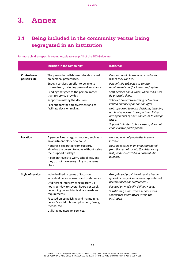# <span id="page-18-0"></span>3. Annex

### <span id="page-18-1"></span>3.1 Being included in the community versus being segregated in an institution

|                                      | Inclusion in the community                                                                                                                                                                                                            | <b>Institution</b>                                                                                                                            |
|--------------------------------------|---------------------------------------------------------------------------------------------------------------------------------------------------------------------------------------------------------------------------------------|-----------------------------------------------------------------------------------------------------------------------------------------------|
| <b>Control over</b><br>person's life | The person herself/himself decides based<br>on personal preferences.                                                                                                                                                                  | Person cannot choose where and with<br>whom they will live.                                                                                   |
|                                      | Enough services on offer to be able to<br>choose from, including personal assistance.                                                                                                                                                 | Person's life subjected to service<br>requirements and/or to routine/regime.                                                                  |
|                                      | Funding that goes to the person, rather<br>than to service provider.                                                                                                                                                                  | Staff decides about what, when will a user<br>do a certain thing.                                                                             |
|                                      | Support in making the decision.<br>Peer support for empowerment and to<br>facilitate decision making.                                                                                                                                 | "Choice" limited to deciding between a<br>limited number of options on offer.                                                                 |
|                                      |                                                                                                                                                                                                                                       | Not supported to make decisions, including<br>not having access to support and living<br>arrangements of one's choice, or to change<br>these. |
|                                      |                                                                                                                                                                                                                                       | Support is limited to basic needs, does not<br>enable active participation.                                                                   |
| Location                             | A person lives in regular housing, such as in<br>an apartment block or a house.                                                                                                                                                       | Housing and daily activities in same<br>location.                                                                                             |
|                                      | Housing is separated from support,<br>allowing the person to move without losing<br>their support package.                                                                                                                            | Housing located in an area segregated<br>from the rest of society (by distance, by<br>wall) and/or located in a hospital-like<br>building.    |
|                                      | A person travels to work, school, etc. and<br>they do not have everything in the same<br>place.                                                                                                                                       |                                                                                                                                               |
| <b>Style of service</b>              | Individualised in terms of focus on<br>individual personal needs and preferences.<br>Of different intensity, ranging from 24<br>hours per day, to several hours per week,<br>depending on each individuals needs and<br>requirements. | Group-based provision of service (same<br>type of activity at same time regardless of<br>person's needs or preferences).                      |
|                                      |                                                                                                                                                                                                                                       | Focused on medically-defined needs.                                                                                                           |
|                                      |                                                                                                                                                                                                                                       | Substituting mainstream services with<br>segregated alternatives within the<br>institution.                                                   |
|                                      | Focused on establishing and maintaining<br>person's social roles (employment, family,<br>friends, etc.)                                                                                                                               |                                                                                                                                               |
|                                      | Utilising mainstream services.                                                                                                                                                                                                        |                                                                                                                                               |

For more children-specific examples, please see p.48 of the EEG Guidelines.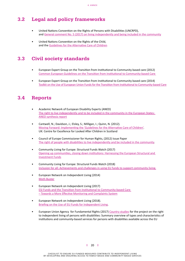### <span id="page-19-0"></span>3.2 Legal and policy frameworks

- United Nations Convention on the Rights of Persons with Disabilities (UNCRPD), and General comment No. 5 (2017) on living [independently](https://tbinternet.ohchr.org/_layouts/treatybodyexternal/Download.aspx?symbolno=CRPD/C/GC/5&Lang=en) and being included in the community
- United Nations Convention on the Rights of the Child, and the Guidelines for the [Alternative](https://www.unicef.org/protection/alternative_care_Guidelines-English.pdf) Care of Children

### <span id="page-19-1"></span>3.3 Civil society standards

- European Expert Group on the Transition from Institutional to Community based care (2012) Common European Guidelines on the Transition from Institutional to [Community-based](https://deinstitutionalisationdotcom.files.wordpress.com/2017/07/guidelines-final-english.pdf) Care
- European Expert Group on the Transition from Institutional to Community based care (2014) Toolkit on the Use of European Union Funds for the Transition from Institutional to [Community-based](https://deinstitutionalisationdotcom.files.wordpress.com/2017/07/toolkit-10-22-2014-update-web.pdf) Care

### <span id="page-19-2"></span>3.4 Reports

- Academic Network of European Disability Experts (ANED) The right to live [independently](https://www.disability-europe.net/theme/independent-living) and to be included in the community in the European States: ANED [synthesis](https://www.disability-europe.net/theme/independent-living) report
- Cantwell, N.; Davidson, J.; Elsley, S.; Milligan, I.; Quinn, N. (2012). Moving Forward: [Implementing](https://www.unicef.org/protection/files/Moving_Forward_Implementing_the_Guidelines_English.pdf) the 'Guidelines for the Alternative Care of Children'. UK: Centre for Excellence for Looked After Children in Scotland
- Council of Europe Commissioner for Human Rights, (2012) Issue Paper The right of people with disabilities to live [independently](https://rm.coe.int/the-right-of-people-with-disabilities-to-live-independently-and-be-inc/16807bef65) and be included in the community.
- Community Living for Europe: Structural Funds Watch (2017) Opening up [communities,](https://eustructuralfundswatchdotcom.files.wordpress.com/2017/11/cle-sfw_opening-up-communities-november-2017_final.pdf) closing down institutions: Harnessing the European Structural and [Investment](https://eustructuralfundswatchdotcom.files.wordpress.com/2017/11/cle-sfw_opening-up-communities-november-2017_final.pdf) Funds
- Community Living for Europe: Structural Funds Watch (2018) Inclusion for all: [Achievements](https://www.wearelumos.org/resources/inclusion-all-achievements-and-challenges-using-eu-funds-support-community-living/) and challenges in using EU funds to support community living.
- European Network on Independent Living (2014) [Myth Buster](https://www.enil.eu/wp-content/uploads/2014/12/Myths-Buster-final-spread-A3-WEB.pdf)
- European Network on Independent Living (2017) ESI Funds and the Transition from Institutional to [Community-based](http://enil.eu/wp-content/uploads/2017/07/OurRightsCampaign-Briefing_FINAL.pdf) Care – Towards a More Effective Monitoring and [Complaints](http://enil.eu/wp-content/uploads/2017/07/OurRightsCampaign-Briefing_FINAL.pdf) System
- European Network on Independent Living (2018). Briefing on the Use of EU Funds for [Independent](http://enil.eu/wp-content/uploads/2018/04/EU-Funds-Briefing_web0903.pdf) Living.
- European Union Agency for Fundamental Rights (2017) [Country studies](https://fra.europa.eu/en/country-data/2017/country-studies-project-right-independent-living-persons-disabilities-summary) for the project on the right to independent living of persons with disabilities: Summary overview of types and characteristics of institutions and community-based services for persons with disabilities available across the EU

#### **l** 20 **l**